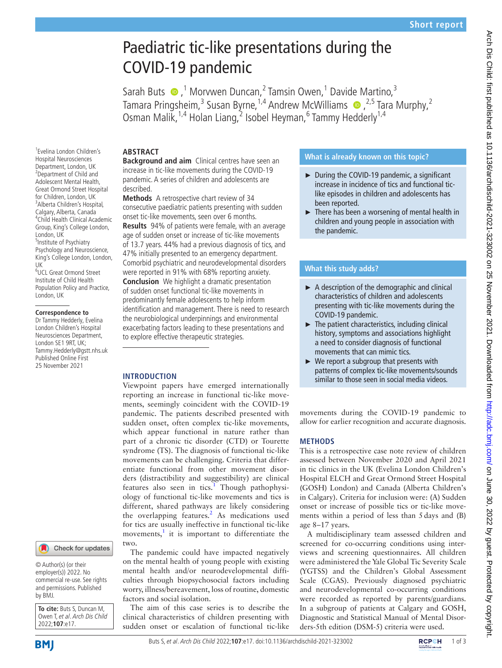# Paediatric tic-like presentations during the COVID-19 pandemic

Sarah Buts  $\bigcirc$ ,<sup>1</sup> Morvwen Duncan,<sup>2</sup> Tamsin Owen,<sup>1</sup> Davide Martino,<sup>3</sup> Tamara Pringsheim,<sup>3</sup> Susan Byrne,<sup>1,4</sup> Andrew McWilliams  $\bullet$ ,<sup>2,5</sup> Tara Murphy,<sup>2</sup> Osman Malik, <sup>1,4</sup> Holan Liang, 2 Isobel Heyman, <sup>6</sup> Tammy Hedderly <sup>1,4</sup>

## **ABSTRACT**

**Background and aim** Clinical centres have seen an increase in tic-like movements during the COVID-19 pandemic. A series of children and adolescents are described.

**Methods** A retrospective chart review of 34 consecutive paediatric patients presenting with sudden onset tic-like movements, seen over 6 months.

**Results** 94% of patients were female, with an average age of sudden onset or increase of tic-like movements of 13.7 years. 44% had a previous diagnosis of tics, and 47% initially presented to an emergency department. Comorbid psychiatric and neurodevelopmental disorders were reported in 91% with 68% reporting anxiety. **Conclusion** We highlight a dramatic presentation of sudden onset functional tic-like movements in predominantly female adolescents to help inform identification and management. There is need to research the neurobiological underpinnings and environmental exacerbating factors leading to these presentations and to explore effective therapeutic strategies.

# **INTRODUCTION**

Viewpoint papers have emerged internationally reporting an increase in functional tic-like movements, seemingly coincident with the COVID-19 pandemic. The patients described presented with sudden onset, often complex tic-like movements, which appear functional in nature rather than part of a chronic tic disorder (CTD) or Tourette syndrome (TS). The diagnosis of functional tic-like movements can be challenging. Criteria that differentiate functional from other movement disorders (distractibility and suggestibility) are clinical features also seen in tics.<sup>[1](#page-2-0)</sup> Though pathophysiology of functional tic-like movements and tics is different, shared pathways are likely considering the overlapping features.<sup>[2](#page-2-1)</sup> As medications used for tics are usually ineffective in functional tic-like movements, $\frac{1}{1}$  $\frac{1}{1}$  $\frac{1}{1}$  it is important to differentiate the two.

The pandemic could have impacted negatively on the mental health of young people with existing mental health and/or neurodevelopmental difficulties through biopsychosocial factors including worry, illness/bereavement, loss of routine, domestic factors and social isolation.

The aim of this case series is to describe the clinical characteristics of children presenting with sudden onset or escalation of functional tic-like

# **What is already known on this topic?**

- ► During the COVID-19 pandemic, a significant increase in incidence of tics and functional ticlike episodes in children and adolescents has been reported.
- ► There has been a worsening of mental health in children and young people in association with the pandemic.

# **What this study adds?**

- $\blacktriangleright$  A description of the demographic and clinical characteristics of children and adolescents presenting with tic-like movements during the COVID-19 pandemic.
- $\blacktriangleright$  The patient characteristics, including clinical history, symptoms and associations highlight a need to consider diagnosis of functional movements that can mimic tics.
- $\blacktriangleright$  We report a subgroup that presents with patterns of complex tic-like movements/sounds similar to those seen in social media videos.

movements during the COVID-19 pandemic to allow for earlier recognition and accurate diagnosis.

## **METHODS**

This is a retrospective case note review of children assessed between November 2020 and April 2021 in tic clinics in the UK (Evelina London Children's Hospital ELCH and Great Ormond Street Hospital (GOSH) London) and Canada (Alberta Children's in Calgary). Criteria for inclusion were: (A) Sudden onset or increase of possible tics or tic-like movements within a period of less than 5days and (B) age 8–17 years.

A multidisciplinary team assessed children and screened for co-occurring conditions using interviews and screening questionnaires. All children were administered the Yale Global Tic Severity Scale (YGTSS) and the Children's Global Assessment Scale (CGAS). Previously diagnosed psychiatric and neurodevelopmental co-occurring conditions were recorded as reported by parents/guardians. In a subgroup of patients at Calgary and GOSH, Diagnostic and Statistical Manual of Mental Disorders-5th edition (DSM-5) criteria were used.

1 Evelina London Children's Hospital Neurosciences Department, London, UK <sup>2</sup> Department of Child and Adolescent Mental Health, Great Ormond Street Hospital for Children, London, UK 3 Alberta Children's Hospital, Calgary, Alberta, Canada 4 Child Health Clinical Academic Group, King's College London, London, UK <sup>5</sup> Institute of Psychiatry Psychology and Neuroscience, King's College London, London, 6 UCL Great Ormond Street Institute of Child Health Population Policy and Practice, London, UK

#### **Correspondence to**

UK

Dr Tammy Hedderly, Evelina London Children's Hospital Neurosciences Department, London SE1 9RT, UK; Tammy.Hedderly@gstt.nhs.uk Published Online First 25 November 2021



© Author(s) (or their employer(s)) 2022. No commercial re-use. See rights and permissions. Published by BMJ.

**To cite:** Buts S, Duncan M, Owen T, et al. Arch Dis Child 2022;**107**:e17.

Arch Dis Child: first published as 10.1136/archdischild-2021-323002 on 25 November 2021. Downloaded from http://adc.bmj.com/ on June 30, 2022 by guest. Protected by copyright Arch Dis Child: first published as 10.1136/archdischild-2021-323002 on 25 November 2021. Downloaded from on June 30, 2022. by guest. Protected by copyright.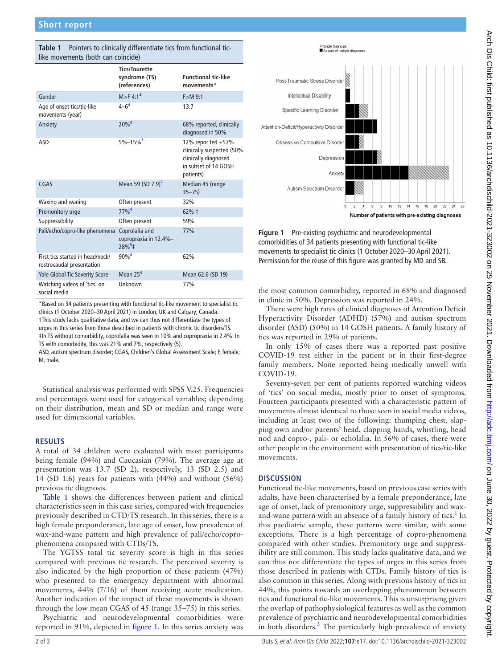| $m_{\rm c}$ movements (bour can contende)                     |                                                         |                                                                                                              |
|---------------------------------------------------------------|---------------------------------------------------------|--------------------------------------------------------------------------------------------------------------|
|                                                               | <b>Tics/Tourette</b><br>syndrome (TS)<br>(references)   | <b>Functional tic-like</b><br>movements*                                                                     |
| Gender                                                        | M > F 4:1 <sup>4</sup>                                  | $F > M$ 9:1                                                                                                  |
| Age of onset tics/tic-like<br>movements (year)                | $4 - 6^4$                                               | 13.7                                                                                                         |
| Anxiety                                                       | 20%4                                                    | 68% reported, clinically<br>diagnosed in 50%                                                                 |
| ASD                                                           | $5\% - 15\%$ <sup>3</sup>                               | 12% repor ted +57%<br>clinically suspected (50%<br>clinically diagnosed<br>in subset of 14 GOSH<br>patients) |
| CGAS                                                          | Mean 59 (SD 7.9) <sup>4</sup>                           | Median 45 (range<br>$35 - 75$                                                                                |
| Waxing and waning                                             | Often present                                           | 32%                                                                                                          |
| Premonitory urge                                              | $77\%$ <sup>4</sup>                                     | 62% +                                                                                                        |
| Suppressibility                                               | Often present                                           | 59%                                                                                                          |
| Pali/echo/copro-like phenomena                                | Coprolalia and<br>copropraxia in 12.4%-<br>$28\%^{5}$ ‡ | 77%                                                                                                          |
| First tics started in head/neck/<br>rostrocaudal presentation | $90%^{4}$                                               | 62%                                                                                                          |
| Yale Global Tic Severity Score                                | Mean $254$                                              | Mean 62.6 (SD 19)                                                                                            |
| Watching videos of 'tics' on<br>social media                  | Unknown                                                 | 77%                                                                                                          |

<span id="page-1-0"></span>**Table 1** Pointers to clinically differentiate tics from functional tic- $\frac{1}{2}$ 

\*Based on 34 patients presenting with functional tic-like movement to specialist tic clinics (1 October 2020–30 April 2021) in London, UK and Calgary, Canada. †This study lacks qualitative data, and we can thus not differentiate the types of urges in this series from those described in patients with chronic tic disorders/TS. ‡In TS without comorbidity, coprolalia was seen in 10% and copropraxia in 2.4%. In TS with comorbidity, this was 21% and 7%, respectively (5).

ASD, autism spectrum disorder; CGAS, Children's Global Assessment Scale; F, female; M, male.

Statistical analysis was performed with SPSS V.25. Frequencies and percentages were used for categorical variables; depending on their distribution, mean and SD or median and range were used for dimensional variables.

## **RESULTS**

A total of 34 children were evaluated with most participants being female (94%) and Caucasian (79%). The average age at presentation was 13.7 (SD 2), respectively, 13 (SD 2.5) and 14 (SD 1.6) years for patients with (44%) and without (56%) previous tic diagnosis.

[Table](#page-1-0) 1 shows the differences between patient and clinical characteristics seen in this case series, compared with frequencies previously described in CTD/TS research. In this series, there is a high female preponderance, late age of onset, low prevalence of wax-and-wane pattern and high prevalence of pali/echo/coprophenomena compared with CTDs/TS.

The YGTSS total tic severity score is high in this series compared with previous tic research. The perceived severity is also indicated by the high proportion of these patients (47%) who presented to the emergency department with abnormal movements, 44% (7/16) of them receiving acute medication. Another indication of the impact of these movements is shown through the low mean CGAS of 45 (range 35–75) in this series.

Psychiatric and neurodevelopmental comorbidities were reported in 91%, depicted in [figure](#page-1-1) 1. In this series anxiety was



<span id="page-1-1"></span>**Figure 1** Pre-existing psychiatric and neurodevelopmental comorbidities of 34 patients presenting with functional tic-like movements to specialist tic clinics (1 October 2020–30 April 2021). Permission for the reuse of this figure was granted by MD and SB.

the most common comorbidity, reported in 68% and diagnosed in clinic in 50%. Depression was reported in 24%.

There were high rates of clinical diagnoses of Attention Deficit Hyperactivity Disorder (ADHD) (57%) and autism spectrum disorder (ASD) (50%) in 14 GOSH patients. A family history of tics was reported in 29% of patients.

In only 15% of cases there was a reported past positive COVID-19 test either in the patient or in their first-degree family members. None reported being medically unwell with COVID-19.

Seventy-seven per cent of patients reported watching videos of 'tics' on social media, mostly prior to onset of symptoms. Fourteen participants presented with a characteristic pattern of movements almost identical to those seen in social media videos, including at least two of the following: thumping chest, slapping own and/or parents' head, clapping hands, whistling, head nod and copro-, pali- or echolalia. In 56% of cases, there were other people in the environment with presentation of tics/tic-like movements.

## **DISCUSSION**

Functional tic-like movements, based on previous case series with adults, have been characterised by a female preponderance, late age of onset, lack of premonitory urge, suppressibility and waxand-wane pattern with an absence of a family history of tics.<sup>1</sup> In this paediatric sample, these patterns were similar, with some exceptions. There is a high percentage of copro-phenomena compared with other studies. Premonitory urge and suppressibility are still common. This study lacks qualitative data, and we can thus not differentiate the types of urges in this series from those described in patients with CTDs. Family history of tics is also common in this series. Along with previous history of tics in 44%, this points towards an overlapping phenomenon between tics and functional tic-like movements. This is unsurprising given the overlap of pathophysiological features as well as the common prevalence of psychiatric and neurodevelopmental comorbidities in both disorders.<sup>[3](#page-2-2)</sup> The particularly high prevalence of anxiety